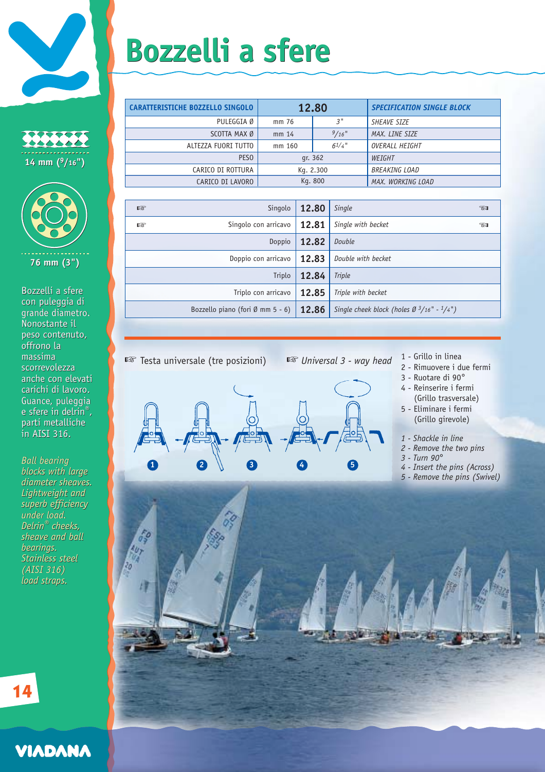





Bozzelli a sfere con puleggia di grande diametro. grande diametro.<br>Nonostante il peso contenuto, peso contenuto, offrono la massima offrono la<br>massima<br>scorrevolezza anche con elevati anche con elevati carichi di lavoro. carichi di lavoro. Guance, puleggia Guance, puleggia e sfere in delrin®, parti metalliche in AISI 316. Bozzelli a sfere<br>con puleggia di<br>grande diametro<br>Nonostante il<br>peso contenuto<br>offrono la<br>massima<br>scorrevolezza<br>anche con eleva<br>carichi di lavorro<br>Guance, puleggi<br>e sfere in delrin<br>parti metalliche<br>in AISI 316.<br>Ball bearing

*Ball bearing blocks with large Ball bearingblocks with large diameter sheaves. diameter sheaves.Lightweight and Lightweight and superb efficiency superb under load. under Delrin® cheeks, Delrin® sheave and ball sheave and ball bearings.* bearings.<br>Stainless steel *(AISI 316) (AISI 316) load straps.*

## **Bozzelli a sfere Bozzelli a sfere**

| <b>CARATTERISTICHE BOZZELLO SINGOLO</b> | 12.80     |           | <b>SPECIFICATION SINGLE BLOCK</b> |
|-----------------------------------------|-----------|-----------|-----------------------------------|
| PULEGGIA Ø                              | mm 76     | 3"        | <b>SHEAVE SIZE</b>                |
| SCOTTA MAX Ø                            | mm 14     | $9/16$ "  | MAX. LINE SIZE                    |
| ALTEZZA FUORI TUTTO                     | mm 160    | $6^{1/4}$ | OVERALL HEIGHT                    |
| PESO                                    | qr. 362   |           | WEIGHT                            |
| CARICO DI ROTTURA                       | Kg. 2.300 |           | <b>BREAKING LOAD</b>              |
| CARICO DI LAVORO                        | Kg. 800   |           | MAX. WORKING LOAD                 |

| 暗                   | Singolo                                    | 12.80 | Single                                                | <b>TAI</b> |
|---------------------|--------------------------------------------|-------|-------------------------------------------------------|------------|
| 咚                   | Singolo con arricavo                       | 12.81 | Single with becket                                    | ுவ         |
| Doppio              |                                            | 12.82 | Double                                                |            |
| Doppio con arricavo |                                            | 12.83 | Double with becket                                    |            |
| Triplo              |                                            | 12.84 | <b>Triple</b>                                         |            |
| Triplo con arricavo |                                            | 12.85 | Triple with becket                                    |            |
|                     | Bozzello piano (fori $\emptyset$ mm 5 - 6) | 12.86 | Single cheek block (holes $\varnothing$ 3/16" - 1/4") |            |
|                     |                                            |       |                                                       |            |



- 
- 2 Rimuovere i due fermi
- 3 Ruotare di 90°
- 4 Reinserire i fermi (Grillo trasversale)
- 5 Eliminare i fermi (Grillo girevole)
- *1 Shackle in line*
- *2 Remove the two pins*
- *3 Turn 90*°
- *4 Insert the pins (Across)*
- *5 Remove the pins (Swivel)*

**14**